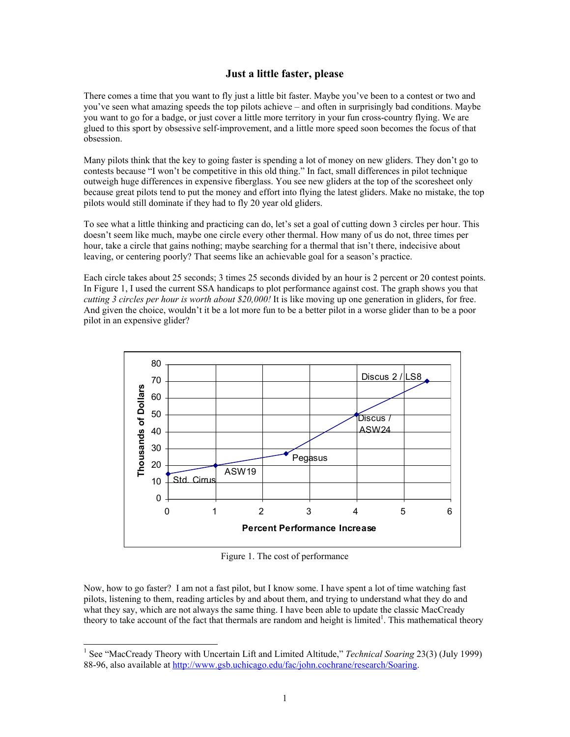# **Just a little faster, please**

There comes a time that you want to fly just a little bit faster. Maybe you've been to a contest or two and you've seen what amazing speeds the top pilots achieve – and often in surprisingly bad conditions. Maybe you want to go for a badge, or just cover a little more territory in your fun cross-country flying. We are glued to this sport by obsessive self-improvement, and a little more speed soon becomes the focus of that obsession.

Many pilots think that the key to going faster is spending a lot of money on new gliders. They don't go to contests because "I won't be competitive in this old thing." In fact, small differences in pilot technique outweigh huge differences in expensive fiberglass. You see new gliders at the top of the scoresheet only because great pilots tend to put the money and effort into flying the latest gliders. Make no mistake, the top pilots would still dominate if they had to fly 20 year old gliders.

To see what a little thinking and practicing can do, let's set a goal of cutting down 3 circles per hour. This doesn't seem like much, maybe one circle every other thermal. How many of us do not, three times per hour, take a circle that gains nothing; maybe searching for a thermal that isn't there, indecisive about leaving, or centering poorly? That seems like an achievable goal for a season's practice.

Each circle takes about 25 seconds; 3 times 25 seconds divided by an hour is 2 percent or 20 contest points. In Figure 1, I used the current SSA handicaps to plot performance against cost. The graph shows you that *cutting 3 circles per hour is worth about \$20,000!* It is like moving up one generation in gliders, for free. And given the choice, wouldn't it be a lot more fun to be a better pilot in a worse glider than to be a poor pilot in an expensive glider?



Figure 1. The cost of performance

Now, how to go faster? I am not a fast pilot, but I know some. I have spent a lot of time watching fast pilots, listening to them, reading articles by and about them, and trying to understand what they do and what they say, which are not always the same thing. I have been able to update the classic MacCready theory to take account of the fact that thermals are random and height is limited<sup>1</sup>. This mathematical theory

 $\overline{a}$ 

<sup>&</sup>lt;sup>1</sup> See "MacCready Theory with Uncertain Lift and Limited Altitude," *Technical Soaring* 23(3) (July 1999) 88-96, also available at http://www.gsb.uchicago.edu/fac/john.cochrane/research/Soaring.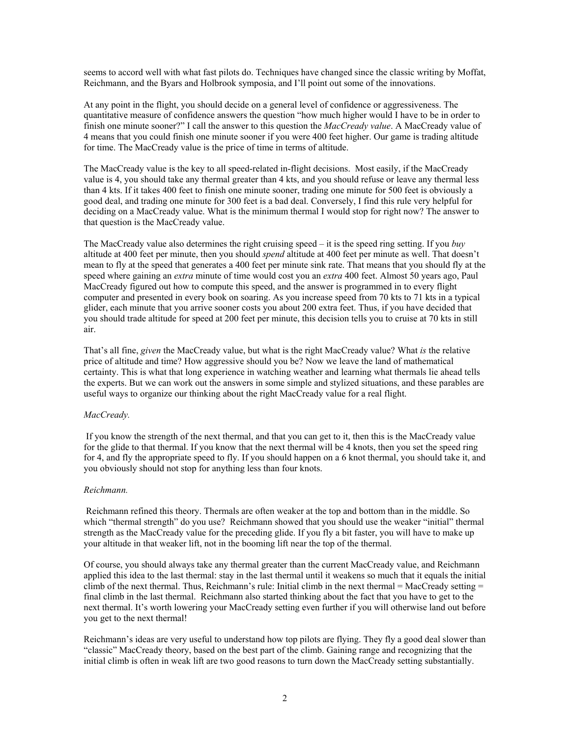seems to accord well with what fast pilots do. Techniques have changed since the classic writing by Moffat, Reichmann, and the Byars and Holbrook symposia, and I'll point out some of the innovations.

At any point in the flight, you should decide on a general level of confidence or aggressiveness. The quantitative measure of confidence answers the question "how much higher would I have to be in order to finish one minute sooner?" I call the answer to this question the *MacCready value*. A MacCready value of 4 means that you could finish one minute sooner if you were 400 feet higher. Our game is trading altitude for time. The MacCready value is the price of time in terms of altitude.

The MacCready value is the key to all speed-related in-flight decisions. Most easily, if the MacCready value is 4, you should take any thermal greater than 4 kts, and you should refuse or leave any thermal less than 4 kts. If it takes 400 feet to finish one minute sooner, trading one minute for 500 feet is obviously a good deal, and trading one minute for 300 feet is a bad deal. Conversely, I find this rule very helpful for deciding on a MacCready value. What is the minimum thermal I would stop for right now? The answer to that question is the MacCready value.

The MacCready value also determines the right cruising speed – it is the speed ring setting. If you *buy* altitude at 400 feet per minute, then you should *spend* altitude at 400 feet per minute as well. That doesn't mean to fly at the speed that generates a 400 feet per minute sink rate. That means that you should fly at the speed where gaining an *extra* minute of time would cost you an *extra* 400 feet. Almost 50 years ago, Paul MacCready figured out how to compute this speed, and the answer is programmed in to every flight computer and presented in every book on soaring. As you increase speed from 70 kts to 71 kts in a typical glider, each minute that you arrive sooner costs you about 200 extra feet. Thus, if you have decided that you should trade altitude for speed at 200 feet per minute, this decision tells you to cruise at 70 kts in still air.

That's all fine, *given* the MacCready value, but what is the right MacCready value? What *is* the relative price of altitude and time? How aggressive should you be? Now we leave the land of mathematical certainty. This is what that long experience in watching weather and learning what thermals lie ahead tells the experts. But we can work out the answers in some simple and stylized situations, and these parables are useful ways to organize our thinking about the right MacCready value for a real flight.

#### *MacCready.*

If you know the strength of the next thermal, and that you can get to it, then this is the MacCready value for the glide to that thermal. If you know that the next thermal will be 4 knots, then you set the speed ring for 4, and fly the appropriate speed to fly. If you should happen on a 6 knot thermal, you should take it, and you obviously should not stop for anything less than four knots.

#### *Reichmann.*

 Reichmann refined this theory. Thermals are often weaker at the top and bottom than in the middle. So which "thermal strength" do you use? Reichmann showed that you should use the weaker "initial" thermal strength as the MacCready value for the preceding glide. If you fly a bit faster, you will have to make up your altitude in that weaker lift, not in the booming lift near the top of the thermal.

Of course, you should always take any thermal greater than the current MacCready value, and Reichmann applied this idea to the last thermal: stay in the last thermal until it weakens so much that it equals the initial climb of the next thermal. Thus, Reichmann's rule: Initial climb in the next thermal  $=$  MacCready setting  $=$ final climb in the last thermal. Reichmann also started thinking about the fact that you have to get to the next thermal. It's worth lowering your MacCready setting even further if you will otherwise land out before you get to the next thermal!

Reichmann's ideas are very useful to understand how top pilots are flying. They fly a good deal slower than "classic" MacCready theory, based on the best part of the climb. Gaining range and recognizing that the initial climb is often in weak lift are two good reasons to turn down the MacCready setting substantially.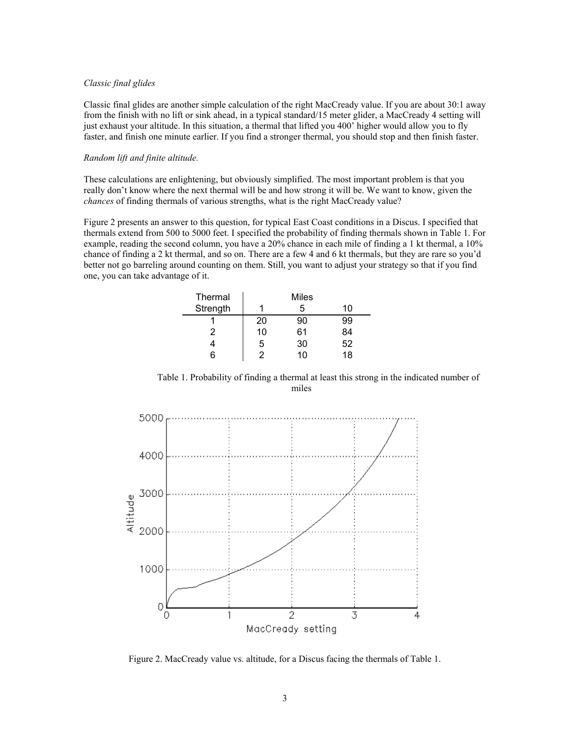#### *Classic final glides*

Classic final glides are another simple calculation of the right MacCready value. If you are about 30:1 away from the finish with no lift or sink ahead, in a typical standard/15 meter glider, a MacCready 4 setting will just exhaust your altitude. In this situation, a thermal that lifted you 400' higher would allow you to fly faster, and finish one minute earlier. If you find a stronger thermal, you should stop and then finish faster.

#### *Random lift and finite altitude.*

These calculations are enlightening, but obviously simplified. The most important problem is that you really don't know where the next thermal will be and how strong it will be. We want to know, given the *chances* of finding thermals of various strengths, what is the right MacCready value?

Figure 2 presents an answer to this question, for typical East Coast conditions in a Discus. I specified that thermals extend from 500 to 5000 feet. I specified the probability of finding thermals shown in Table 1. For example, reading the second column, you have a 20% chance in each mile of finding a 1 kt thermal, a 10% chance of finding a 2 kt thermal, and so on. There are a few 4 and 6 kt thermals, but they are rare so you'd better not go barreling around counting on them. Still, you want to adjust your strategy so that if you find one, you can take advantage of it.

| Thermal  | Miles |    |    |  |  |
|----------|-------|----|----|--|--|
| Strength |       | 5  | 10 |  |  |
|          | 20    | 90 | 99 |  |  |
| 2        | 10    | 61 | 84 |  |  |
|          | 5     | 30 | 52 |  |  |
| ี่ค      | 2     | 10 | 18 |  |  |

Table 1. Probability of finding a thermal at least this strong in the indicated number of miles



Figure 2. MacCready value vs. altitude, for a Discus facing the thermals of Table 1.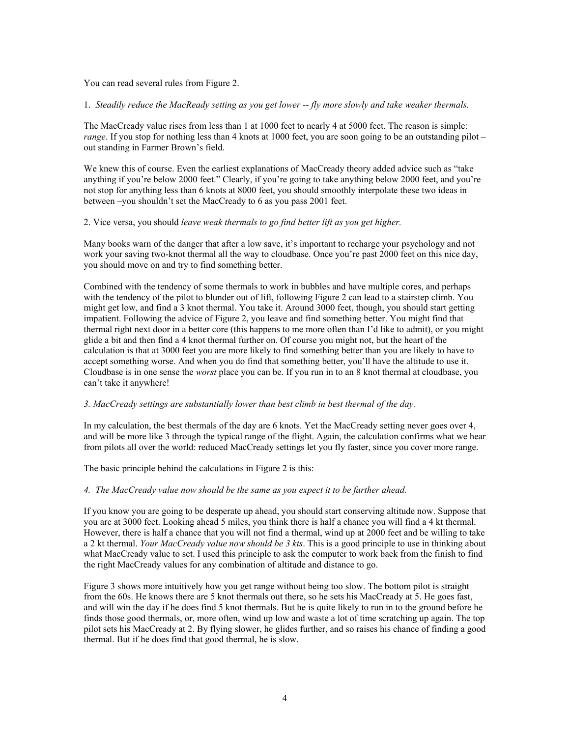You can read several rules from Figure 2.

1. *Steadily reduce the MacReady setting as you get lower -- fly more slowly and take weaker thermals.*

The MacCready value rises from less than 1 at 1000 feet to nearly 4 at 5000 feet. The reason is simple: *range*. If you stop for nothing less than 4 knots at 1000 feet, you are soon going to be an outstanding pilot – out standing in Farmer Brown's field.

We knew this of course. Even the earliest explanations of MacCready theory added advice such as "take anything if you're below 2000 feet." Clearly, if you're going to take anything below 2000 feet, and you're not stop for anything less than 6 knots at 8000 feet, you should smoothly interpolate these two ideas in between –you shouldn't set the MacCready to 6 as you pass 2001 feet.

## 2. Vice versa, you should *leave weak thermals to go find better lift as you get higher.*

Many books warn of the danger that after a low save, it's important to recharge your psychology and not work your saving two-knot thermal all the way to cloudbase. Once you're past 2000 feet on this nice day, you should move on and try to find something better.

Combined with the tendency of some thermals to work in bubbles and have multiple cores, and perhaps with the tendency of the pilot to blunder out of lift, following Figure 2 can lead to a stairstep climb. You might get low, and find a 3 knot thermal. You take it. Around 3000 feet, though, you should start getting impatient. Following the advice of Figure 2, you leave and find something better. You might find that thermal right next door in a better core (this happens to me more often than I'd like to admit), or you might glide a bit and then find a 4 knot thermal further on. Of course you might not, but the heart of the calculation is that at 3000 feet you are more likely to find something better than you are likely to have to accept something worse. And when you do find that something better, you'll have the altitude to use it. Cloudbase is in one sense the *worst* place you can be. If you run in to an 8 knot thermal at cloudbase, you can't take it anywhere!

### *3. MacCready settings are substantially lower than best climb in best thermal of the day.*

In my calculation, the best thermals of the day are 6 knots. Yet the MacCready setting never goes over 4, and will be more like 3 through the typical range of the flight. Again, the calculation confirms what we hear from pilots all over the world: reduced MacCready settings let you fly faster, since you cover more range.

The basic principle behind the calculations in Figure 2 is this:

#### *4. The MacCready value now should be the same as you expect it to be farther ahead.*

If you know you are going to be desperate up ahead, you should start conserving altitude now. Suppose that you are at 3000 feet. Looking ahead 5 miles, you think there is half a chance you will find a 4 kt thermal. However, there is half a chance that you will not find a thermal, wind up at 2000 feet and be willing to take a 2 kt thermal. *Your MacCready value now should be 3 kts*. This is a good principle to use in thinking about what MacCready value to set. I used this principle to ask the computer to work back from the finish to find the right MacCready values for any combination of altitude and distance to go.

Figure 3 shows more intuitively how you get range without being too slow. The bottom pilot is straight from the 60s. He knows there are 5 knot thermals out there, so he sets his MacCready at 5. He goes fast, and will win the day if he does find 5 knot thermals. But he is quite likely to run in to the ground before he finds those good thermals, or, more often, wind up low and waste a lot of time scratching up again. The top pilot sets his MacCready at 2. By flying slower, he glides further, and so raises his chance of finding a good thermal. But if he does find that good thermal, he is slow.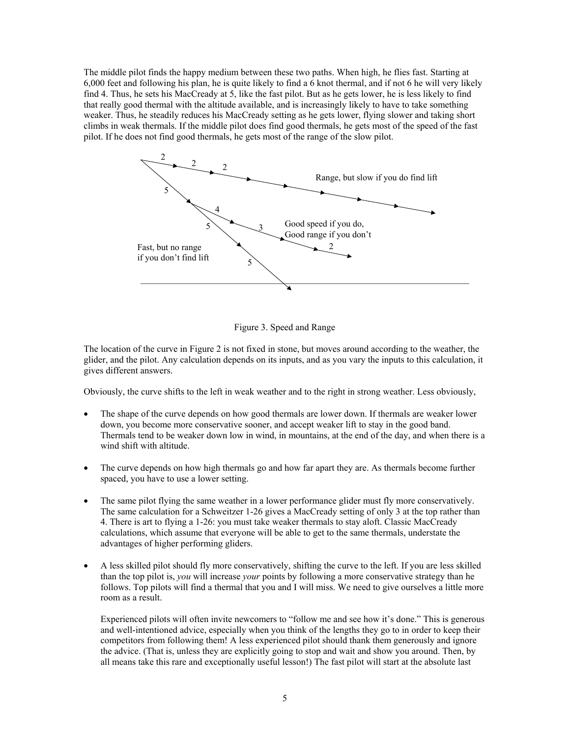The middle pilot finds the happy medium between these two paths. When high, he flies fast. Starting at 6,000 feet and following his plan, he is quite likely to find a 6 knot thermal, and if not 6 he will very likely find 4. Thus, he sets his MacCready at 5, like the fast pilot. But as he gets lower, he is less likely to find that really good thermal with the altitude available, and is increasingly likely to have to take something weaker. Thus, he steadily reduces his MacCready setting as he gets lower, flying slower and taking short climbs in weak thermals. If the middle pilot does find good thermals, he gets most of the speed of the fast pilot. If he does not find good thermals, he gets most of the range of the slow pilot.



Figure 3. Speed and Range

The location of the curve in Figure 2 is not fixed in stone, but moves around according to the weather, the glider, and the pilot. Any calculation depends on its inputs, and as you vary the inputs to this calculation, it gives different answers.

Obviously, the curve shifts to the left in weak weather and to the right in strong weather. Less obviously,

- The shape of the curve depends on how good thermals are lower down. If thermals are weaker lower down, you become more conservative sooner, and accept weaker lift to stay in the good band. Thermals tend to be weaker down low in wind, in mountains, at the end of the day, and when there is a wind shift with altitude.
- The curve depends on how high thermals go and how far apart they are. As thermals become further spaced, you have to use a lower setting.
- The same pilot flying the same weather in a lower performance glider must fly more conservatively. The same calculation for a Schweitzer 1-26 gives a MacCready setting of only 3 at the top rather than 4. There is art to flying a 1-26: you must take weaker thermals to stay aloft. Classic MacCready calculations, which assume that everyone will be able to get to the same thermals, understate the advantages of higher performing gliders.
- A less skilled pilot should fly more conservatively, shifting the curve to the left. If you are less skilled than the top pilot is, *you* will increase *your* points by following a more conservative strategy than he follows. Top pilots will find a thermal that you and I will miss. We need to give ourselves a little more room as a result.

Experienced pilots will often invite newcomers to "follow me and see how it's done." This is generous and well-intentioned advice, especially when you think of the lengths they go to in order to keep their competitors from following them! A less experienced pilot should thank them generously and ignore the advice. (That is, unless they are explicitly going to stop and wait and show you around. Then, by all means take this rare and exceptionally useful lesson!) The fast pilot will start at the absolute last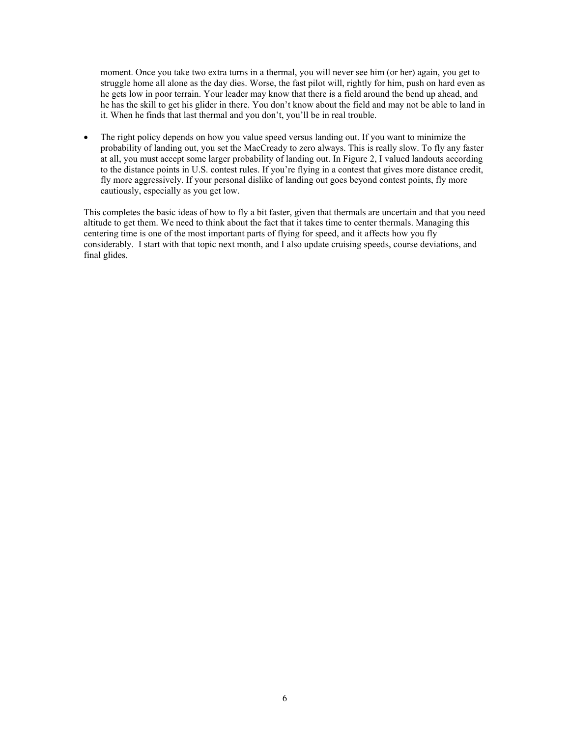moment. Once you take two extra turns in a thermal, you will never see him (or her) again, you get to struggle home all alone as the day dies. Worse, the fast pilot will, rightly for him, push on hard even as he gets low in poor terrain. Your leader may know that there is a field around the bend up ahead, and he has the skill to get his glider in there. You don't know about the field and may not be able to land in it. When he finds that last thermal and you don't, you'll be in real trouble.

• The right policy depends on how you value speed versus landing out. If you want to minimize the probability of landing out, you set the MacCready to zero always. This is really slow. To fly any faster at all, you must accept some larger probability of landing out. In Figure 2, I valued landouts according to the distance points in U.S. contest rules. If you're flying in a contest that gives more distance credit, fly more aggressively. If your personal dislike of landing out goes beyond contest points, fly more cautiously, especially as you get low.

This completes the basic ideas of how to fly a bit faster, given that thermals are uncertain and that you need altitude to get them. We need to think about the fact that it takes time to center thermals. Managing this centering time is one of the most important parts of flying for speed, and it affects how you fly considerably. I start with that topic next month, and I also update cruising speeds, course deviations, and final glides.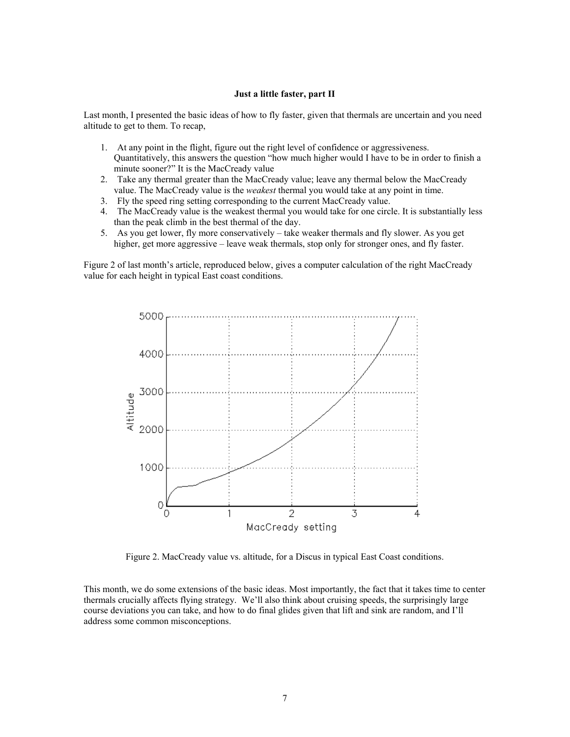#### **Just a little faster, part II**

Last month, I presented the basic ideas of how to fly faster, given that thermals are uncertain and you need altitude to get to them. To recap,

- 1. At any point in the flight, figure out the right level of confidence or aggressiveness. Quantitatively, this answers the question "how much higher would I have to be in order to finish a minute sooner?" It is the MacCready value
- 2. Take any thermal greater than the MacCready value; leave any thermal below the MacCready value. The MacCready value is the *weakest* thermal you would take at any point in time.
- 3. Fly the speed ring setting corresponding to the current MacCready value.
- 4. The MacCready value is the weakest thermal you would take for one circle. It is substantially less than the peak climb in the best thermal of the day.
- 5. As you get lower, fly more conservatively take weaker thermals and fly slower. As you get higher, get more aggressive – leave weak thermals, stop only for stronger ones, and fly faster.

Figure 2 of last month's article, reproduced below, gives a computer calculation of the right MacCready value for each height in typical East coast conditions.



Figure 2. MacCready value vs. altitude, for a Discus in typical East Coast conditions.

This month, we do some extensions of the basic ideas. Most importantly, the fact that it takes time to center thermals crucially affects flying strategy. We'll also think about cruising speeds, the surprisingly large course deviations you can take, and how to do final glides given that lift and sink are random, and I'll address some common misconceptions.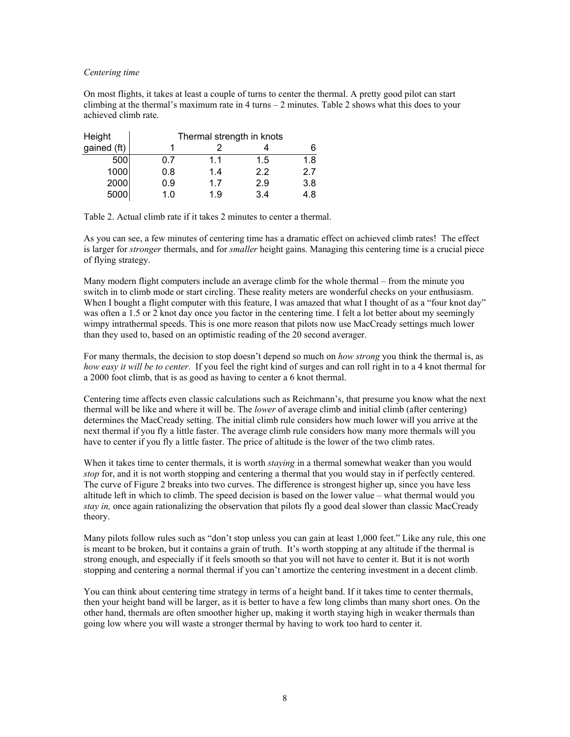#### *Centering time*

On most flights, it takes at least a couple of turns to center the thermal. A pretty good pilot can start climbing at the thermal's maximum rate in 4 turns – 2 minutes. Table 2 shows what this does to your achieved climb rate.

| Height      | Thermal strength in knots |     |     |     |  |
|-------------|---------------------------|-----|-----|-----|--|
| gained (ft) |                           |     |     |     |  |
| 500         | 0.7                       | 1.1 | 1.5 | 1.8 |  |
| 1000        | 0.8                       | 1.4 | 2.2 | 2.7 |  |
| 2000        | 0.9                       | 17  | 2.9 | 3.8 |  |
| 5000        | 1 በ                       | 1.9 | 34  | ıя  |  |

Table 2. Actual climb rate if it takes 2 minutes to center a thermal.

As you can see, a few minutes of centering time has a dramatic effect on achieved climb rates! The effect is larger for *stronger* thermals, and for *smaller* height gains. Managing this centering time is a crucial piece of flying strategy.

Many modern flight computers include an average climb for the whole thermal – from the minute you switch in to climb mode or start circling. These reality meters are wonderful checks on your enthusiasm. When I bought a flight computer with this feature, I was amazed that what I thought of as a "four knot day" was often a 1.5 or 2 knot day once you factor in the centering time. I felt a lot better about my seemingly wimpy intrathermal speeds. This is one more reason that pilots now use MacCready settings much lower than they used to, based on an optimistic reading of the 20 second averager.

For many thermals, the decision to stop doesn't depend so much on *how strong* you think the thermal is, as *how easy it will be to center.* If you feel the right kind of surges and can roll right in to a 4 knot thermal for a 2000 foot climb, that is as good as having to center a 6 knot thermal.

Centering time affects even classic calculations such as Reichmann's, that presume you know what the next thermal will be like and where it will be. The *lower* of average climb and initial climb (after centering) determines the MacCready setting. The initial climb rule considers how much lower will you arrive at the next thermal if you fly a little faster. The average climb rule considers how many more thermals will you have to center if you fly a little faster. The price of altitude is the lower of the two climb rates.

When it takes time to center thermals, it is worth *staying* in a thermal somewhat weaker than you would *stop* for, and it is not worth stopping and centering a thermal that you would stay in if perfectly centered. The curve of Figure 2 breaks into two curves. The difference is strongest higher up, since you have less altitude left in which to climb. The speed decision is based on the lower value – what thermal would you *stay in,* once again rationalizing the observation that pilots fly a good deal slower than classic MacCready theory.

Many pilots follow rules such as "don't stop unless you can gain at least 1,000 feet." Like any rule, this one is meant to be broken, but it contains a grain of truth. It's worth stopping at any altitude if the thermal is strong enough, and especially if it feels smooth so that you will not have to center it. But it is not worth stopping and centering a normal thermal if you can't amortize the centering investment in a decent climb.

You can think about centering time strategy in terms of a height band. If it takes time to center thermals, then your height band will be larger, as it is better to have a few long climbs than many short ones. On the other hand, thermals are often smoother higher up, making it worth staying high in weaker thermals than going low where you will waste a stronger thermal by having to work too hard to center it.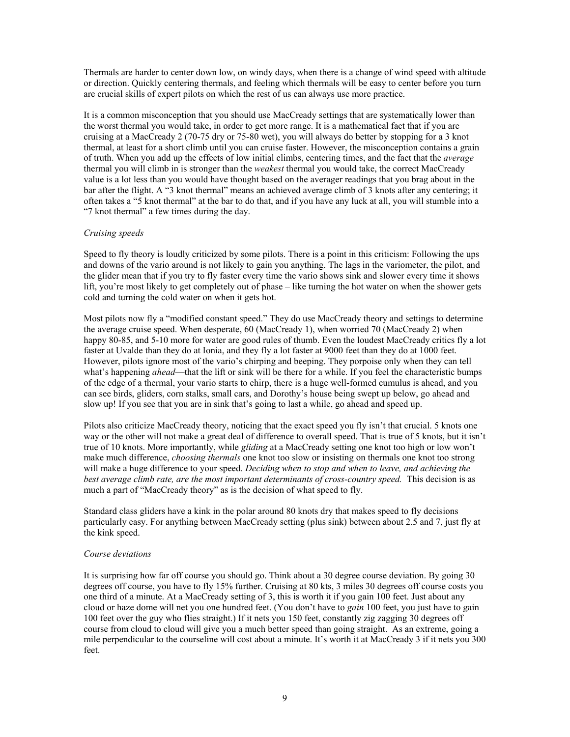Thermals are harder to center down low, on windy days, when there is a change of wind speed with altitude or direction. Quickly centering thermals, and feeling which thermals will be easy to center before you turn are crucial skills of expert pilots on which the rest of us can always use more practice.

It is a common misconception that you should use MacCready settings that are systematically lower than the worst thermal you would take, in order to get more range. It is a mathematical fact that if you are cruising at a MacCready 2 (70-75 dry or 75-80 wet), you will always do better by stopping for a 3 knot thermal, at least for a short climb until you can cruise faster. However, the misconception contains a grain of truth. When you add up the effects of low initial climbs, centering times, and the fact that the *average* thermal you will climb in is stronger than the *weakest* thermal you would take, the correct MacCready value is a lot less than you would have thought based on the averager readings that you brag about in the bar after the flight. A "3 knot thermal" means an achieved average climb of 3 knots after any centering; it often takes a "5 knot thermal" at the bar to do that, and if you have any luck at all, you will stumble into a "7 knot thermal" a few times during the day.

## *Cruising speeds*

Speed to fly theory is loudly criticized by some pilots. There is a point in this criticism: Following the ups and downs of the vario around is not likely to gain you anything. The lags in the variometer, the pilot, and the glider mean that if you try to fly faster every time the vario shows sink and slower every time it shows lift, you're most likely to get completely out of phase – like turning the hot water on when the shower gets cold and turning the cold water on when it gets hot.

Most pilots now fly a "modified constant speed." They do use MacCready theory and settings to determine the average cruise speed. When desperate, 60 (MacCready 1), when worried 70 (MacCready 2) when happy 80-85, and 5-10 more for water are good rules of thumb. Even the loudest MacCready critics fly a lot faster at Uvalde than they do at Ionia, and they fly a lot faster at 9000 feet than they do at 1000 feet. However, pilots ignore most of the vario's chirping and beeping. They porpoise only when they can tell what's happening *ahead*—that the lift or sink will be there for a while. If you feel the characteristic bumps of the edge of a thermal, your vario starts to chirp, there is a huge well-formed cumulus is ahead, and you can see birds, gliders, corn stalks, small cars, and Dorothy's house being swept up below, go ahead and slow up! If you see that you are in sink that's going to last a while, go ahead and speed up.

Pilots also criticize MacCready theory, noticing that the exact speed you fly isn't that crucial. 5 knots one way or the other will not make a great deal of difference to overall speed. That is true of 5 knots, but it isn't true of 10 knots. More importantly, while *gliding* at a MacCready setting one knot too high or low won't make much difference, *choosing thermals* one knot too slow or insisting on thermals one knot too strong will make a huge difference to your speed. *Deciding when to stop and when to leave, and achieving the best average climb rate, are the most important determinants of cross-country speed.* This decision is as much a part of "MacCready theory" as is the decision of what speed to fly.

Standard class gliders have a kink in the polar around 80 knots dry that makes speed to fly decisions particularly easy. For anything between MacCready setting (plus sink) between about 2.5 and 7, just fly at the kink speed.

#### *Course deviations*

It is surprising how far off course you should go. Think about a 30 degree course deviation. By going 30 degrees off course, you have to fly 15% further. Cruising at 80 kts, 3 miles 30 degrees off course costs you one third of a minute. At a MacCready setting of 3, this is worth it if you gain 100 feet. Just about any cloud or haze dome will net you one hundred feet. (You don't have to *gain* 100 feet, you just have to gain 100 feet over the guy who flies straight.) If it nets you 150 feet, constantly zig zagging 30 degrees off course from cloud to cloud will give you a much better speed than going straight. As an extreme, going a mile perpendicular to the courseline will cost about a minute. It's worth it at MacCready 3 if it nets you 300 feet.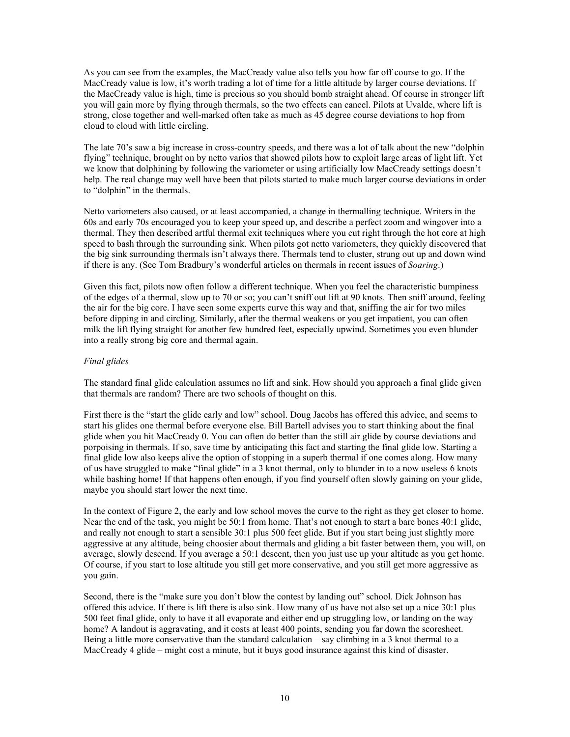As you can see from the examples, the MacCready value also tells you how far off course to go. If the MacCready value is low, it's worth trading a lot of time for a little altitude by larger course deviations. If the MacCready value is high, time is precious so you should bomb straight ahead. Of course in stronger lift you will gain more by flying through thermals, so the two effects can cancel. Pilots at Uvalde, where lift is strong, close together and well-marked often take as much as 45 degree course deviations to hop from cloud to cloud with little circling.

The late 70's saw a big increase in cross-country speeds, and there was a lot of talk about the new "dolphin flying" technique, brought on by netto varios that showed pilots how to exploit large areas of light lift. Yet we know that dolphining by following the variometer or using artificially low MacCready settings doesn't help. The real change may well have been that pilots started to make much larger course deviations in order to "dolphin" in the thermals.

Netto variometers also caused, or at least accompanied, a change in thermalling technique. Writers in the 60s and early 70s encouraged you to keep your speed up, and describe a perfect zoom and wingover into a thermal. They then described artful thermal exit techniques where you cut right through the hot core at high speed to bash through the surrounding sink. When pilots got netto variometers, they quickly discovered that the big sink surrounding thermals isn't always there. Thermals tend to cluster, strung out up and down wind if there is any. (See Tom Bradbury's wonderful articles on thermals in recent issues of *Soaring*.)

Given this fact, pilots now often follow a different technique. When you feel the characteristic bumpiness of the edges of a thermal, slow up to 70 or so; you can't sniff out lift at 90 knots. Then sniff around, feeling the air for the big core. I have seen some experts curve this way and that, sniffing the air for two miles before dipping in and circling. Similarly, after the thermal weakens or you get impatient, you can often milk the lift flying straight for another few hundred feet, especially upwind. Sometimes you even blunder into a really strong big core and thermal again.

## *Final glides*

The standard final glide calculation assumes no lift and sink. How should you approach a final glide given that thermals are random? There are two schools of thought on this.

First there is the "start the glide early and low" school. Doug Jacobs has offered this advice, and seems to start his glides one thermal before everyone else. Bill Bartell advises you to start thinking about the final glide when you hit MacCready 0. You can often do better than the still air glide by course deviations and porpoising in thermals. If so, save time by anticipating this fact and starting the final glide low. Starting a final glide low also keeps alive the option of stopping in a superb thermal if one comes along. How many of us have struggled to make "final glide" in a 3 knot thermal, only to blunder in to a now useless 6 knots while bashing home! If that happens often enough, if you find yourself often slowly gaining on your glide, maybe you should start lower the next time.

In the context of Figure 2, the early and low school moves the curve to the right as they get closer to home. Near the end of the task, you might be 50:1 from home. That's not enough to start a bare bones 40:1 glide, and really not enough to start a sensible 30:1 plus 500 feet glide. But if you start being just slightly more aggressive at any altitude, being choosier about thermals and gliding a bit faster between them, you will, on average, slowly descend. If you average a 50:1 descent, then you just use up your altitude as you get home. Of course, if you start to lose altitude you still get more conservative, and you still get more aggressive as you gain.

Second, there is the "make sure you don't blow the contest by landing out" school. Dick Johnson has offered this advice. If there is lift there is also sink. How many of us have not also set up a nice 30:1 plus 500 feet final glide, only to have it all evaporate and either end up struggling low, or landing on the way home? A landout is aggravating, and it costs at least 400 points, sending you far down the scoresheet. Being a little more conservative than the standard calculation – say climbing in a 3 knot thermal to a MacCready 4 glide – might cost a minute, but it buys good insurance against this kind of disaster.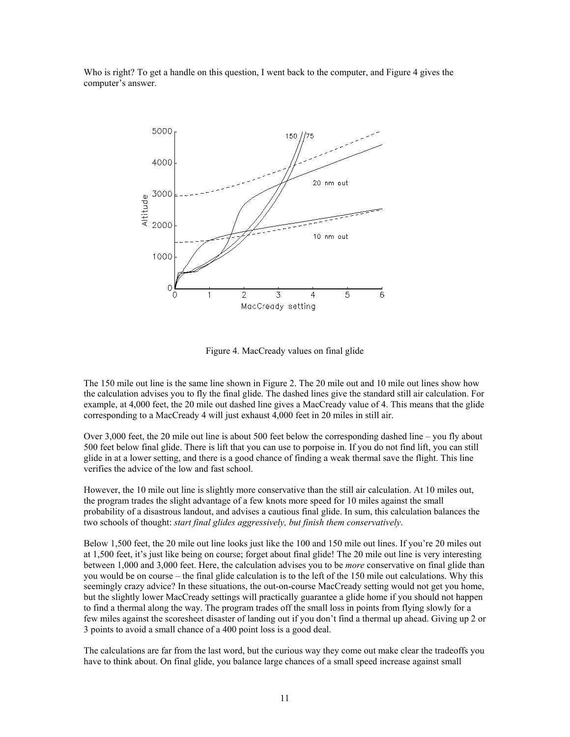Who is right? To get a handle on this question, I went back to the computer, and Figure 4 gives the computer's answer.



Figure 4. MacCready values on final glide

The 150 mile out line is the same line shown in Figure 2. The 20 mile out and 10 mile out lines show how the calculation advises you to fly the final glide. The dashed lines give the standard still air calculation. For example, at 4,000 feet, the 20 mile out dashed line gives a MacCready value of 4. This means that the glide corresponding to a MacCready 4 will just exhaust 4,000 feet in 20 miles in still air.

Over 3,000 feet, the 20 mile out line is about 500 feet below the corresponding dashed line – you fly about 500 feet below final glide. There is lift that you can use to porpoise in. If you do not find lift, you can still glide in at a lower setting, and there is a good chance of finding a weak thermal save the flight. This line verifies the advice of the low and fast school.

However, the 10 mile out line is slightly more conservative than the still air calculation. At 10 miles out, the program trades the slight advantage of a few knots more speed for 10 miles against the small probability of a disastrous landout, and advises a cautious final glide. In sum, this calculation balances the two schools of thought: *start final glides aggressively, but finish them conservatively*.

Below 1,500 feet, the 20 mile out line looks just like the 100 and 150 mile out lines. If you're 20 miles out at 1,500 feet, it's just like being on course; forget about final glide! The 20 mile out line is very interesting between 1,000 and 3,000 feet. Here, the calculation advises you to be *more* conservative on final glide than you would be on course – the final glide calculation is to the left of the 150 mile out calculations. Why this seemingly crazy advice? In these situations, the out-on-course MacCready setting would not get you home, but the slightly lower MacCready settings will practically guarantee a glide home if you should not happen to find a thermal along the way. The program trades off the small loss in points from flying slowly for a few miles against the scoresheet disaster of landing out if you don't find a thermal up ahead. Giving up 2 or 3 points to avoid a small chance of a 400 point loss is a good deal.

The calculations are far from the last word, but the curious way they come out make clear the tradeoffs you have to think about. On final glide, you balance large chances of a small speed increase against small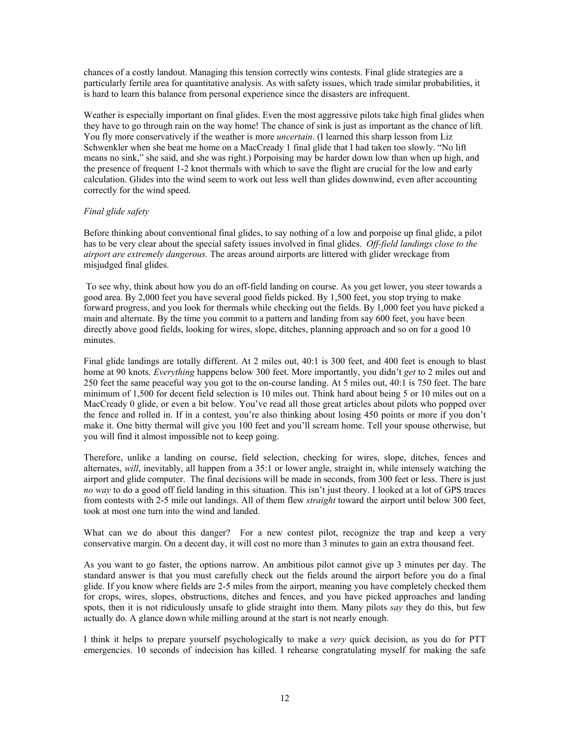chances of a costly landout. Managing this tension correctly wins contests. Final glide strategies are a particularly fertile area for quantitative analysis. As with safety issues, which trade similar probabilities, it is hard to learn this balance from personal experience since the disasters are infrequent.

Weather is especially important on final glides. Even the most aggressive pilots take high final glides when they have to go through rain on the way home! The chance of sink is just as important as the chance of lift. You fly more conservatively if the weather is more *uncertain*. (I learned this sharp lesson from Liz Schwenkler when she beat me home on a MacCready 1 final glide that I had taken too slowly. "No lift means no sink," she said, and she was right.) Porpoising may be harder down low than when up high, and the presence of frequent 1-2 knot thermals with which to save the flight are crucial for the low and early calculation. Glides into the wind seem to work out less well than glides downwind, even after accounting correctly for the wind speed.

## *Final glide safety*

Before thinking about conventional final glides, to say nothing of a low and porpoise up final glide, a pilot has to be very clear about the special safety issues involved in final glides. *Off-field landings close to the airport are extremely dangerous.* The areas around airports are littered with glider wreckage from misjudged final glides.

To see why, think about how you do an off-field landing on course. As you get lower, you steer towards a good area. By 2,000 feet you have several good fields picked. By 1,500 feet, you stop trying to make forward progress, and you look for thermals while checking out the fields. By 1,000 feet you have picked a main and alternate. By the time you commit to a pattern and landing from say 600 feet, you have been directly above good fields, looking for wires, slope, ditches, planning approach and so on for a good 10 minutes.

Final glide landings are totally different. At 2 miles out, 40:1 is 300 feet, and 400 feet is enough to blast home at 90 knots. *Everything* happens below 300 feet. More importantly, you didn't *get* to 2 miles out and 250 feet the same peaceful way you got to the on-course landing. At 5 miles out, 40:1 is 750 feet. The bare minimum of 1,500 for decent field selection is 10 miles out. Think hard about being 5 or 10 miles out on a MacCready 0 glide, or even a bit below. You've read all those great articles about pilots who popped over the fence and rolled in. If in a contest, you're also thinking about losing 450 points or more if you don't make it. One bitty thermal will give you 100 feet and you'll scream home. Tell your spouse otherwise, but you will find it almost impossible not to keep going.

Therefore, unlike a landing on course, field selection, checking for wires, slope, ditches, fences and alternates, *will*, inevitably, all happen from a 35:1 or lower angle, straight in, while intensely watching the airport and glide computer. The final decisions will be made in seconds, from 300 feet or less. There is just *no way* to do a good off field landing in this situation. This isn't just theory. I looked at a lot of GPS traces from contests with 2-5 mile out landings. All of them flew *straight* toward the airport until below 300 feet, took at most one turn into the wind and landed.

What can we do about this danger? For a new contest pilot, recognize the trap and keep a very conservative margin. On a decent day, it will cost no more than 3 minutes to gain an extra thousand feet.

As you want to go faster, the options narrow. An ambitious pilot cannot give up 3 minutes per day. The standard answer is that you must carefully check out the fields around the airport before you do a final glide. If you know where fields are 2-5 miles from the airport, meaning you have completely checked them for crops, wires, slopes, obstructions, ditches and fences, and you have picked approaches and landing spots, then it is not ridiculously unsafe to glide straight into them. Many pilots *say* they do this, but few actually do. A glance down while milling around at the start is not nearly enough.

I think it helps to prepare yourself psychologically to make a *very* quick decision, as you do for PTT emergencies. 10 seconds of indecision has killed. I rehearse congratulating myself for making the safe